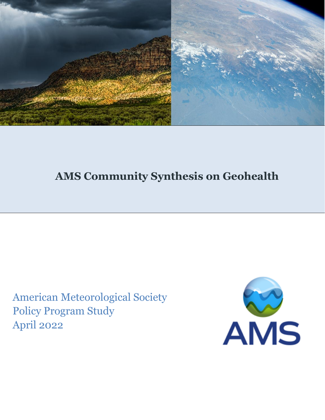

# **AMS Community Synthesis on Geohealth**

American Meteorological Society Policy Program Study April 2022

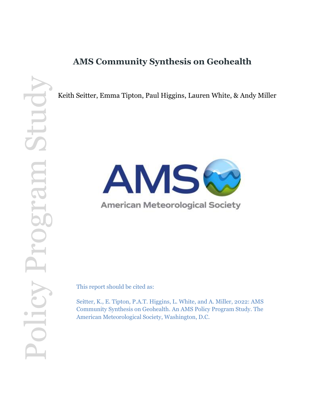## **AMS Community Synthesis on Geohealth**

Keith Seitter, Emma Tipton, Paul Higgins, Lauren White, & Andy Miller



## **American Meteorological Society**

This report should be cited as:

Seitter, K., E. Tipton, P.A.T. Higgins, L. White, and A. Miller, 2022: AMS Community Synthesis on Geohealth. An AMS Policy Program Study. The American Meteorological Society, Washington, D.C.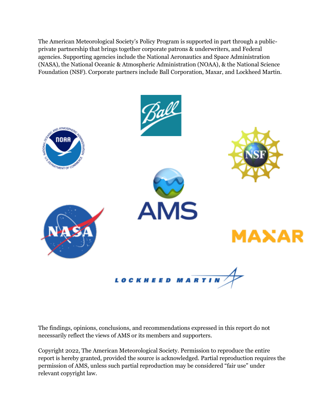The American Meteorological Society's Policy Program is supported in part through a publicprivate partnership that brings together corporate patrons & underwriters, and Federal agencies. Supporting agencies include the National Aeronautics and Space Administration (NASA), the National Oceanic & Atmospheric Administration (NOAA), & the National Science Foundation (NSF). Corporate partners include Ball Corporation, Maxar, and Lockheed Martin.



The findings, opinions, conclusions, and recommendations expressed in this report do not necessarily reflect the views of AMS or its members and supporters.

Copyright 2022, The American Meteorological Society. Permission to reproduce the entire report is hereby granted, provided the source is acknowledged. Partial reproduction requires the permission of AMS, unless such partial reproduction may be considered "fair use" under relevant copyright law.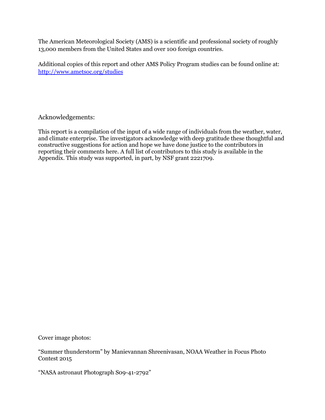The American Meteorological Society (AMS) is a scientific and professional society of roughly 13,000 members from the United States and over 100 foreign countries.

Additional copies of this report and other AMS Policy Program studies can be found online at: <http://www.ametsoc.org/studies>

Acknowledgements:

This report is a compilation of the input of a wide range of individuals from the weather, water, and climate enterprise. The investigators acknowledge with deep gratitude these thoughtful and constructive suggestions for action and hope we have done justice to the contributors in reporting their comments here. A full list of contributors to this study is available in the Appendix. This study was supported, in part, by NSF grant 2221709.

Cover image photos:

"Summer thunderstorm" by Manievannan Shreenivasan, NOAA Weather in Focus Photo Contest 2015

"NASA astronaut Photograph S09-41-2792"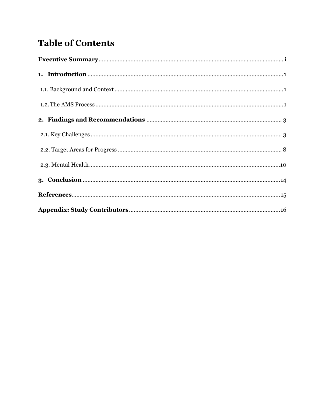# **Table of Contents**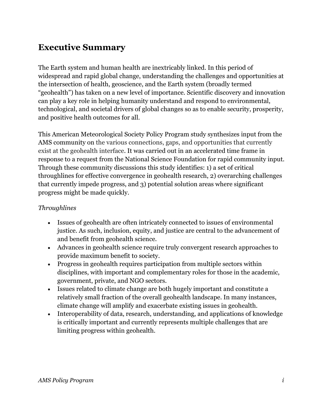## <span id="page-5-0"></span>**Executive Summary**

The Earth system and human health are inextricably linked. In this period of widespread and rapid global change, understanding the challenges and opportunities at the intersection of health, geoscience, and the Earth system (broadly termed "geohealth") has taken on a new level of importance. Scientific discovery and innovation can play a key role in helping humanity understand and respond to environmental, technological, and societal drivers of global changes so as to enable security, prosperity, and positive health outcomes for all.

This American Meteorological Society Policy Program study synthesizes input from the AMS community on the various connections, gaps, and opportunities that currently exist at the geohealth interface. It was carried out in an accelerated time frame in response to a request from the National Science Foundation for rapid community input. Through these community discussions this study identifies: 1) a set of critical throughlines for effective convergence in geohealth research, 2) overarching challenges that currently impede progress, and 3) potential solution areas where significant progress might be made quickly.

### *Throughlines*

- Issues of geohealth are often intricately connected to issues of environmental justice. As such, inclusion, equity, and justice are central to the advancement of and benefit from geohealth science.
- Advances in geohealth science require truly convergent research approaches to provide maximum benefit to society.
- Progress in geohealth requires participation from multiple sectors within disciplines, with important and complementary roles for those in the academic, government, private, and NGO sectors.
- Issues related to climate change are both hugely important and constitute a relatively small fraction of the overall geohealth landscape. In many instances, climate change will amplify and exacerbate existing issues in geohealth.
- Interoperability of data, research, understanding, and applications of knowledge is critically important and currently represents multiple challenges that are limiting progress within geohealth.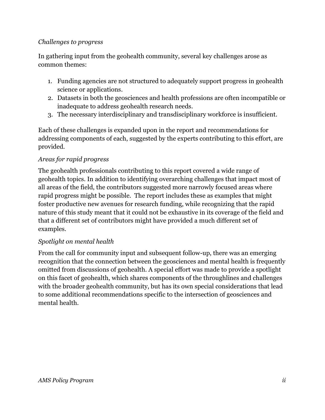### *Challenges to progress*

In gathering input from the geohealth community, several key challenges arose as common themes:

- 1. Funding agencies are not structured to adequately support progress in geohealth science or applications.
- 2. Datasets in both the geosciences and health professions are often incompatible or inadequate to address geohealth research needs.
- 3. The necessary interdisciplinary and transdisciplinary workforce is insufficient.

Each of these challenges is expanded upon in the report and recommendations for addressing components of each, suggested by the experts contributing to this effort, are provided.

### *Areas for rapid progress*

The geohealth professionals contributing to this report covered a wide range of geohealth topics. In addition to identifying overarching challenges that impact most of all areas of the field, the contributors suggested more narrowly focused areas where rapid progress might be possible. The report includes these as examples that might foster productive new avenues for research funding, while recognizing that the rapid nature of this study meant that it could not be exhaustive in its coverage of the field and that a different set of contributors might have provided a much different set of examples.

### *Spotlight on mental health*

From the call for community input and subsequent follow-up, there was an emerging recognition that the connection between the geosciences and mental health is frequently omitted from discussions of geohealth. A special effort was made to provide a spotlight on this facet of geohealth, which shares components of the throughlines and challenges with the broader geohealth community, but has its own special considerations that lead to some additional recommendations specific to the intersection of geosciences and mental health.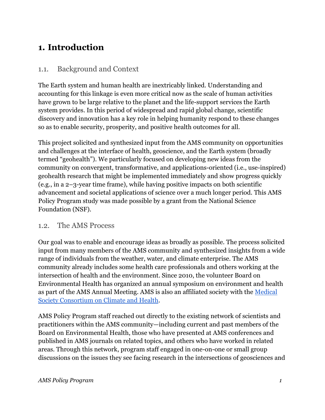## <span id="page-7-0"></span>**1. Introduction**

### <span id="page-7-1"></span>1.1. Background and Context

The Earth system and human health are inextricably linked. Understanding and accounting for this linkage is even more critical now as the scale of human activities have grown to be large relative to the planet and the life-support services the Earth system provides. In this period of widespread and rapid global change, scientific discovery and innovation has a key role in helping humanity respond to these changes so as to enable security, prosperity, and positive health outcomes for all.

This project solicited and synthesized input from the AMS community on opportunities and challenges at the interface of health, geoscience, and the Earth system (broadly termed "geohealth"). We particularly focused on developing new ideas from the community on convergent, transformative, and applications-oriented (i.e., use-inspired) geohealth research that might be implemented immediately and show progress quickly (e.g., in a 2–3-year time frame), while having positive impacts on both scientific advancement and societal applications of science over a much longer period. This AMS Policy Program study was made possible by a grant from the National Science Foundation (NSF).

### <span id="page-7-2"></span>1.2. The AMS Process

Our goal was to enable and encourage ideas as broadly as possible. The process solicited input from many members of the AMS community and synthesized insights from a wide range of individuals from the weather, water, and climate enterprise. The AMS community already includes some health care professionals and others working at the intersection of health and the environment. Since 2010, the volunteer Board on Environmental Health has organized an annual symposium on environment and health as part of the AMS Annual Meeting. AMS is also an affiliated society with the [Medical](https://medsocietiesforclimatehealth.org/)  [Society Consortium on Climate and Health.](https://medsocietiesforclimatehealth.org/)

AMS Policy Program staff reached out directly to the existing network of scientists and practitioners within the AMS community—including current and past members of the Board on Environmental Health, those who have presented at AMS conferences and published in AMS journals on related topics, and others who have worked in related areas. Through this network, program staff engaged in one-on-one or small group discussions on the issues they see facing research in the intersections of geosciences and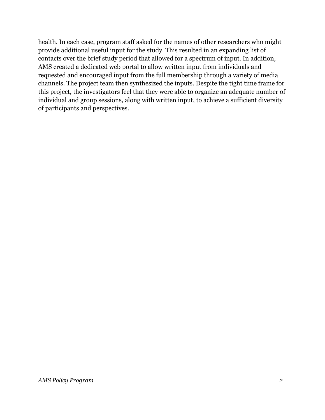health. In each case, program staff asked for the names of other researchers who might provide additional useful input for the study. This resulted in an expanding list of contacts over the brief study period that allowed for a spectrum of input. In addition, AMS created a dedicated web portal to allow written input from individuals and requested and encouraged input from the full membership through a variety of media channels. The project team then synthesized the inputs. Despite the tight time frame for this project, the investigators feel that they were able to organize an adequate number of individual and group sessions, along with written input, to achieve a sufficient diversity of participants and perspectives.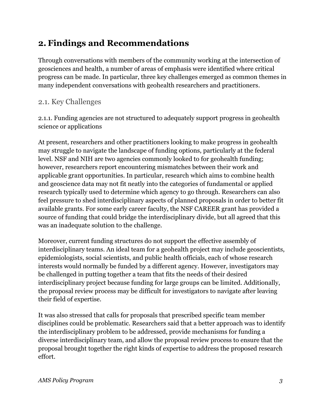## <span id="page-9-0"></span>**2. Findings and Recommendations**

Through conversations with members of the community working at the intersection of geosciences and health, a number of areas of emphasis were identified where critical progress can be made. In particular, three key challenges emerged as common themes in many independent conversations with geohealth researchers and practitioners.

### <span id="page-9-1"></span>2.1. Key Challenges

2.1.1. Funding agencies are not structured to adequately support progress in geohealth science or applications

At present, researchers and other practitioners looking to make progress in geohealth may struggle to navigate the landscape of funding options, particularly at the federal level. NSF and NIH are two agencies commonly looked to for geohealth funding; however, researchers report encountering mismatches between their work and applicable grant opportunities. In particular, research which aims to combine health and geoscience data may not fit neatly into the categories of fundamental or applied research typically used to determine which agency to go through. Researchers can also feel pressure to shed interdisciplinary aspects of planned proposals in order to better fit available grants. For some early career faculty, the NSF CAREER grant has provided a source of funding that could bridge the interdisciplinary divide, but all agreed that this was an inadequate solution to the challenge.

Moreover, current funding structures do not support the effective assembly of interdisciplinary teams. An ideal team for a geohealth project may include geoscientists, epidemiologists, social scientists, and public health officials, each of whose research interests would normally be funded by a different agency. However, investigators may be challenged in putting together a team that fits the needs of their desired interdisciplinary project because funding for large groups can be limited. Additionally, the proposal review process may be difficult for investigators to navigate after leaving their field of expertise.

It was also stressed that calls for proposals that prescribed specific team member disciplines could be problematic. Researchers said that a better approach was to identify the interdisciplinary problem to be addressed, provide mechanisms for funding a diverse interdisciplinary team, and allow the proposal review process to ensure that the proposal brought together the right kinds of expertise to address the proposed research effort.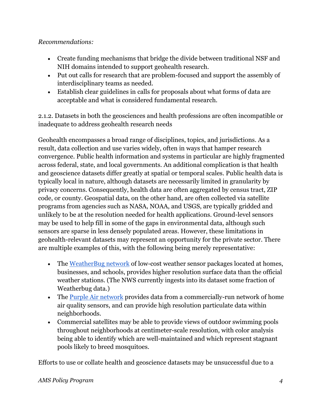### *Recommendations:*

- Create funding mechanisms that bridge the divide between traditional NSF and NIH domains intended to support geohealth research.
- Put out calls for research that are problem-focused and support the assembly of interdisciplinary teams as needed.
- Establish clear guidelines in calls for proposals about what forms of data are acceptable and what is considered fundamental research.

2.1.2. Datasets in both the geosciences and health professions are often incompatible or inadequate to address geohealth research needs

Geohealth encompasses a broad range of disciplines, topics, and jurisdictions. As a result, data collection and use varies widely, often in ways that hamper research convergence. Public health information and systems in particular are highly fragmented across federal, state, and local governments. An additional complication is that health and geoscience datasets differ greatly at spatial or temporal scales. Public health data is typically local in nature, although datasets are necessarily limited in granularity by privacy concerns. Consequently, health data are often aggregated by census tract, ZIP code, or county. Geospatial data, on the other hand, are often collected via satellite programs from agencies such as NASA, NOAA, and USGS, are typically gridded and unlikely to be at the resolution needed for health applications. Ground-level sensors may be used to help fill in some of the gaps in environmental data, although such sensors are sparse in less densely populated areas. However, these limitations in geohealth-relevant datasets may represent an opportunity for the private sector. There are multiple examples of this, with the following being merely representative:

- The [WeatherBug network](https://www.weatherbug.com/) of low-cost weather sensor packages located at homes, businesses, and schools, provides higher resolution surface data than the official weather stations. (The NWS currently ingests into its dataset some fraction of Weatherbug data.)
- The [Purple Air network](https://map.purpleair.com/) provides data from a commercially-run network of home air quality sensors, and can provide high resolution particulate data within neighborhoods.
- Commercial satellites may be able to provide views of outdoor swimming pools throughout neighborhoods at centimeter-scale resolution, with color analysis being able to identify which are well-maintained and which represent stagnant pools likely to breed mosquitoes.

Efforts to use or collate health and geoscience datasets may be unsuccessful due to a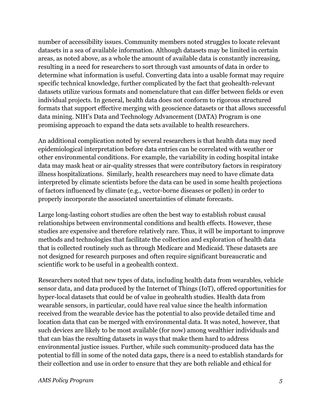number of accessibility issues. Community members noted struggles to locate relevant datasets in a sea of available information. Although datasets may be limited in certain areas, as noted above, as a whole the amount of available data is constantly increasing, resulting in a need for researchers to sort through vast amounts of data in order to determine what information is useful. Converting data into a usable format may require specific technical knowledge, further complicated by the fact that geohealth-relevant datasets utilize various formats and nomenclature that can differ between fields or even individual projects. In general, health data does not conform to rigorous structured formats that support effective merging with geoscience datasets or that allows successful data mining. NIH's Data and Technology Advancement (DATA) Program is one promising approach to expand the data sets available to health researchers.

An additional complication noted by several researchers is that health data may need epidemiological interpretation before data entries can be correlated with weather or other environmental conditions. For example, the variability in coding hospital intake data may mask heat or air-quality stresses that were contributory factors in respiratory illness hospitalizations. Similarly, health researchers may need to have climate data interpreted by climate scientists before the data can be used in some health projections of factors influenced by climate (e.g., vector-borne diseases or pollen) in order to properly incorporate the associated uncertainties of climate forecasts.

Large long-lasting cohort studies are often the best way to establish robust causal relationships between environmental conditions and health effects. However, these studies are expensive and therefore relatively rare. Thus, it will be important to improve methods and technologies that facilitate the collection and exploration of health data that is collected routinely such as through Medicare and Medicaid. These datasets are not designed for research purposes and often require significant bureaucratic and scientific work to be useful in a geohealth context.

Researchers noted that new types of data, including health data from wearables, vehicle sensor data, and data produced by the Internet of Things (IoT), offered opportunities for hyper-local datasets that could be of value in geohealth studies. Health data from wearable sensors, in particular, could have real value since the health information received from the wearable device has the potential to also provide detailed time and location data that can be merged with environmental data. It was noted, however, that such devices are likely to be most available (for now) among wealthier individuals and that can bias the resulting datasets in ways that make them hard to address environmental justice issues. Further, while such community-produced data has the potential to fill in some of the noted data gaps, there is a need to establish standards for their collection and use in order to ensure that they are both reliable and ethical for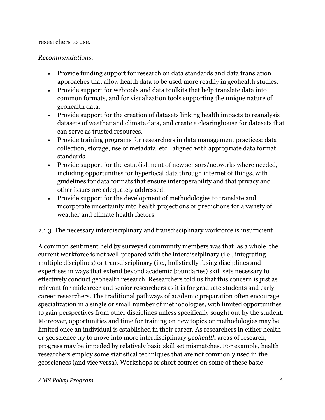### researchers to use.

### *Recommendations:*

- Provide funding support for research on data standards and data translation approaches that allow health data to be used more readily in geohealth studies.
- Provide support for webtools and data toolkits that help translate data into common formats, and for visualization tools supporting the unique nature of geohealth data.
- Provide support for the creation of datasets linking health impacts to reanalysis datasets of weather and climate data, and create a clearinghouse for datasets that can serve as trusted resources.
- Provide training programs for researchers in data management practices: data collection, storage, use of metadata, etc., aligned with appropriate data format standards.
- Provide support for the establishment of new sensors/networks where needed, including opportunities for hyperlocal data through internet of things, with guidelines for data formats that ensure interoperability and that privacy and other issues are adequately addressed.
- Provide support for the development of methodologies to translate and incorporate uncertainty into health projections or predictions for a variety of weather and climate health factors.

### 2.1.3. The necessary interdisciplinary and transdisciplinary workforce is insufficient

A common sentiment held by surveyed community members was that, as a whole, the current workforce is not well-prepared with the interdisciplinary (i.e., integrating multiple disciplines) or transdisciplinary (i.e., holistically fusing disciplines and expertises in ways that extend beyond academic boundaries) skill sets necessary to effectively conduct geohealth research. Researchers told us that this concern is just as relevant for midcareer and senior researchers as it is for graduate students and early career researchers. The traditional pathways of academic preparation often encourage specialization in a single or small number of methodologies, with limited opportunities to gain perspectives from other disciplines unless specifically sought out by the student. Moreover, opportunities and time for training on new topics or methodologies may be limited once an individual is established in their career. As researchers in either health or geoscience try to move into more interdisciplinary *geohealth* areas of research, progress may be impeded by relatively basic skill set mismatches. For example, health researchers employ some statistical techniques that are not commonly used in the geosciences (and vice versa). Workshops or short courses on some of these basic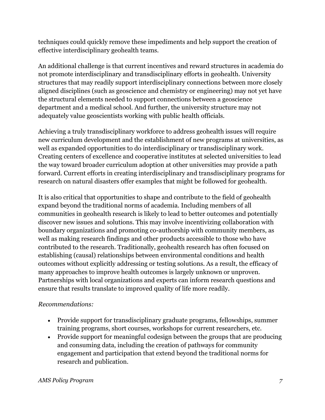techniques could quickly remove these impediments and help support the creation of effective interdisciplinary geohealth teams.

An additional challenge is that current incentives and reward structures in academia do not promote interdisciplinary and transdisciplinary efforts in geohealth. University structures that may readily support interdisciplinary connections between more closely aligned disciplines (such as geoscience and chemistry or engineering) may not yet have the structural elements needed to support connections between a geoscience department and a medical school. And further, the university structure may not adequately value geoscientists working with public health officials.

Achieving a truly transdisciplinary workforce to address geohealth issues will require new curriculum development and the establishment of new programs at universities, as well as expanded opportunities to do interdisciplinary or transdisciplinary work. Creating centers of excellence and cooperative institutes at selected universities to lead the way toward broader curriculum adoption at other universities may provide a path forward. Current efforts in creating interdisciplinary and transdisciplinary programs for research on natural disasters offer examples that might be followed for geohealth.

It is also critical that opportunities to shape and contribute to the field of geohealth expand beyond the traditional norms of academia. Including members of all communities in geohealth research is likely to lead to better outcomes and potentially discover new issues and solutions. This may involve incentivizing collaboration with boundary organizations and promoting co-authorship with community members, as well as making research findings and other products accessible to those who have contributed to the research. Traditionally, geohealth research has often focused on establishing (causal) relationships between environmental conditions and health outcomes without explicitly addressing or testing solutions. As a result, the efficacy of many approaches to improve health outcomes is largely unknown or unproven. Partnerships with local organizations and experts can inform research questions and ensure that results translate to improved quality of life more readily.

### *Recommendations:*

- Provide support for transdisciplinary graduate programs, fellowships, summer training programs, short courses, workshops for current researchers, etc.
- Provide support for meaningful codesign between the groups that are producing and consuming data, including the creation of pathways for community engagement and participation that extend beyond the traditional norms for research and publication.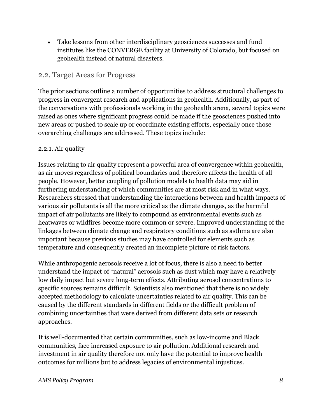• Take lessons from other interdisciplinary geosciences successes and fund institutes like the CONVERGE facility at University of Colorado, but focused on geohealth instead of natural disasters.

### <span id="page-14-0"></span>2.2. Target Areas for Progress

The prior sections outline a number of opportunities to address structural challenges to progress in convergent research and applications in geohealth. Additionally, as part of the conversations with professionals working in the geohealth arena, several topics were raised as ones where significant progress could be made if the geosciences pushed into new areas or pushed to scale up or coordinate existing efforts, especially once those overarching challenges are addressed. These topics include:

### 2.2.1. Air quality

Issues relating to air quality represent a powerful area of convergence within geohealth, as air moves regardless of political boundaries and therefore affects the health of all people. However, better coupling of pollution models to health data may aid in furthering understanding of which communities are at most risk and in what ways. Researchers stressed that understanding the interactions between and health impacts of various air pollutants is all the more critical as the climate changes, as the harmful impact of air pollutants are likely to compound as environmental events such as heatwaves or wildfires become more common or severe. Improved understanding of the linkages between climate change and respiratory conditions such as asthma are also important because previous studies may have controlled for elements such as temperature and consequently created an incomplete picture of risk factors.

While anthropogenic aerosols receive a lot of focus, there is also a need to better understand the impact of "natural" aerosols such as dust which may have a relatively low daily impact but severe long-term effects. Attributing aerosol concentrations to specific sources remains difficult. Scientists also mentioned that there is no widely accepted methodology to calculate uncertainties related to air quality. This can be caused by the different standards in different fields or the difficult problem of combining uncertainties that were derived from different data sets or research approaches.

It is well-documented that certain communities, such as low-income and Black communities, face increased exposure to air pollution. Additional research and investment in air quality therefore not only have the potential to improve health outcomes for millions but to address legacies of environmental injustices.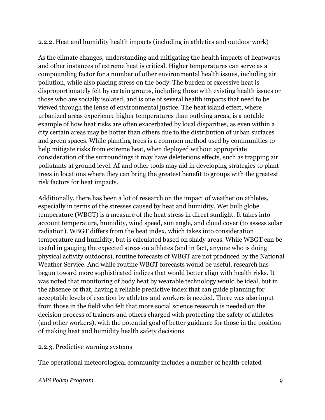### 2.2.2. Heat and humidity health impacts (including in athletics and outdoor work)

As the climate changes, understanding and mitigating the health impacts of heatwaves and other instances of extreme heat is critical. Higher temperatures can serve as a compounding factor for a number of other environmental health issues, including air pollution, while also placing stress on the body. The burden of excessive heat is disproportionately felt by certain groups, including those with existing health issues or those who are socially isolated, and is one of several health impacts that need to be viewed through the lense of environmental justice. The heat island effect, where urbanized areas experience higher temperatures than outlying areas, is a notable example of how heat risks are often exacerbated by local disparities, as even within a city certain areas may be hotter than others due to the distribution of urban surfaces and green spaces. While planting trees is a common method used by communities to help mitigate risks from extreme heat, when deployed without appropriate consideration of the surroundings it may have deleterious effects, such as trapping air pollutants at ground level. AI and other tools may aid in developing strategies to plant trees in locations where they can bring the greatest benefit to groups with the greatest risk factors for heat impacts.

Additionally, there has been a lot of research on the impact of weather on athletes, especially in terms of the stresses caused by heat and humidity. Wet bulb globe temperature (WBGT) is a measure of the heat stress in direct sunlight. It takes into account temperature, humidity, wind speed, sun angle, and cloud cover (to assess solar radiation). WBGT differs from the heat index, which takes into consideration temperature and humidity, but is calculated based on shady areas. While WBGT can be useful in gauging the expected stress on athletes (and in fact, anyone who is doing physical activity outdoors), routine forecasts of WBGT are not produced by the National Weather Service. And while routine WBGT forecasts would be useful, research has begun toward more sophisticated indices that would better align with health risks. It was noted that monitoring of body heat by wearable technology would be ideal, but in the absence of that, having a reliable predictive index that can guide planning for acceptable levels of exertion by athletes and workers is needed. There was also input from those in the field who felt that more social science research is needed on the decision process of trainers and others charged with protecting the safety of athletes (and other workers), with the potential goal of better guidance for those in the position of making heat and humidity health safety decisions.

### 2.2.3. Predictive warning systems

The operational meteorological community includes a number of health-related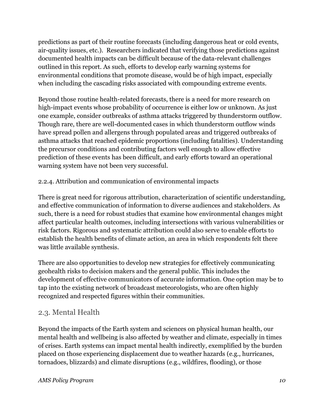predictions as part of their routine forecasts (including dangerous heat or cold events, air-quality issues, etc.). Researchers indicated that verifying those predictions against documented health impacts can be difficult because of the data-relevant challenges outlined in this report. As such, efforts to develop early warning systems for environmental conditions that promote disease, would be of high impact, especially when including the cascading risks associated with compounding extreme events.

Beyond those routine health-related forecasts, there is a need for more research on high-impact events whose probability of occurrence is either low or unknown. As just one example, consider outbreaks of asthma attacks triggered by thunderstorm outflow. Though rare, there are well-documented cases in which thunderstorm outflow winds have spread pollen and allergens through populated areas and triggered outbreaks of asthma attacks that reached epidemic proportions (including fatalities). Understanding the precursor conditions and contributing factors well enough to allow effective prediction of these events has been difficult, and early efforts toward an operational warning system have not been very successful.

### 2.2.4. Attribution and communication of environmental impacts

There is great need for rigorous attribution, characterization of scientific understanding, and effective communication of information to diverse audiences and stakeholders. As such, there is a need for robust studies that examine how environmental changes might affect particular health outcomes, including intersections with various vulnerabilities or risk factors. Rigorous and systematic attribution could also serve to enable efforts to establish the health benefits of climate action, an area in which respondents felt there was little available synthesis.

There are also opportunities to develop new strategies for effectively communicating geohealth risks to decision makers and the general public. This includes the development of effective communicators of accurate information. One option may be to tap into the existing network of broadcast meteorologists, who are often highly recognized and respected figures within their communities.

### <span id="page-16-0"></span>2.3. Mental Health

Beyond the impacts of the Earth system and sciences on physical human health, our mental health and wellbeing is also affected by weather and climate, especially in times of crises. Earth systems can impact mental health indirectly, exemplified by the burden placed on those experiencing displacement due to weather hazards (e.g., hurricanes, tornadoes, blizzards) and climate disruptions (e.g., wildfires, flooding), or those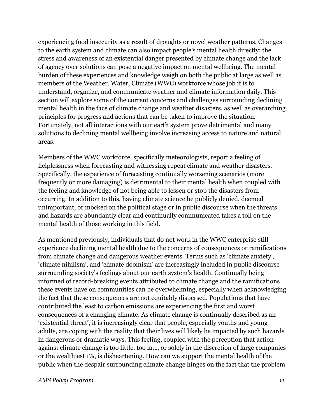experiencing food insecurity as a result of droughts or novel weather patterns. Changes to the earth system and climate can also impact people's mental health directly: the stress and awareness of an existential danger presented by climate change and the lack of agency over solutions can pose a negative impact on mental wellbeing. The mental burden of these experiences and knowledge weigh on both the public at large as well as members of the Weather, Water, Climate (WWC) workforce whose job it is to understand, organize, and communicate weather and climate information daily. This section will explore some of the current concerns and challenges surrounding declining mental health in the face of climate change and weather disasters, as well as overarching principles for progress and actions that can be taken to improve the situation. Fortunately, not all interactions with our earth system prove detrimental and many solutions to declining mental wellbeing involve increasing access to nature and natural areas.

Members of the WWC workforce, specifically meteorologists, report a feeling of helplessness when forecasting and witnessing repeat climate and weather disasters. Specifically, the experience of forecasting continually worsening scenarios (more frequently or more damaging) is detrimental to their mental health when coupled with the feeling and knowledge of not being able to lessen or stop the disasters from occurring. In addition to this, having climate science be publicly denied, deemed unimportant, or mocked on the political stage or in public discourse when the threats and hazards are abundantly clear and continually communicated takes a toll on the mental health of those working in this field.

As mentioned previously, individuals that do not work in the WWC enterprise still experience declining mental health due to the concerns of consequences or ramifications from climate change and dangerous weather events. Terms such as 'climate anxiety', 'climate nihilism', and 'climate doomism' are increasingly included in public discourse surrounding society's feelings about our earth system's health. Continually being informed of record-breaking events attributed to climate change and the ramifications these events have on communities can be overwhelming, especially when acknowledging the fact that these consequences are not equitably dispersed. Populations that have contributed the least to carbon emissions are experiencing the first and worst consequences of a changing climate. As climate change is continually described as an 'existential threat', it is increasingly clear that people, especially youths and young adults, are coping with the reality that their lives will likely be impacted by such hazards in dangerous or dramatic ways. This feeling, coupled with the perception that action against climate change is too little, too late, or solely in the discretion of large companies or the wealthiest 1%, is disheartening. How can we support the mental health of the public when the despair surrounding climate change hinges on the fact that the problem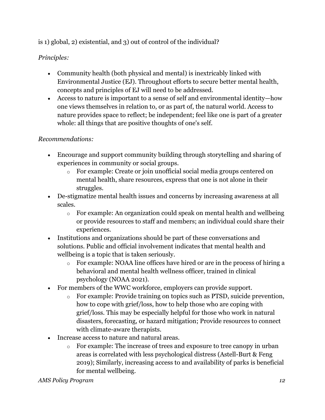### is 1) global, 2) existential, and 3) out of control of the individual?

### *Principles:*

- Community health (both physical and mental) is inextricably linked with Environmental Justice (EJ). Throughout efforts to secure better mental health, concepts and principles of EJ will need to be addressed.
- Access to nature is important to a sense of self and environmental identity—how one views themselves in relation to, or as part of, the natural world. Access to nature provides space to reflect; be independent; feel like one is part of a greater whole: all things that are positive thoughts of one's self.

### *Recommendations:*

- Encourage and support community building through storytelling and sharing of experiences in community or social groups.
	- o For example: Create or join unofficial social media groups centered on mental health, share resources, express that one is not alone in their struggles.
- De-stigmatize mental health issues and concerns by increasing awareness at all scales.
	- o For example: An organization could speak on mental health and wellbeing or provide resources to staff and members; an individual could share their experiences.
- Institutions and organizations should be part of these conversations and solutions. Public and official involvement indicates that mental health and wellbeing is a topic that is taken seriously.
	- o For example: NOAA line offices have hired or are in the process of hiring a behavioral and mental health wellness officer, trained in clinical psychology (NOAA 2021).
- For members of the WWC workforce, employers can provide support.
	- o For example: Provide training on topics such as PTSD, suicide prevention, how to cope with grief/loss, how to help those who are coping with grief/loss. This may be especially helpful for those who work in natural disasters, forecasting, or hazard mitigation; Provide resources to connect with climate-aware therapists.
- Increase access to nature and natural areas.
	- o For example: The increase of trees and exposure to tree canopy in urban areas is correlated with less psychological distress (Astell-Burt & Feng 2019); Similarly, increasing access to and availability of parks is beneficial for mental wellbeing.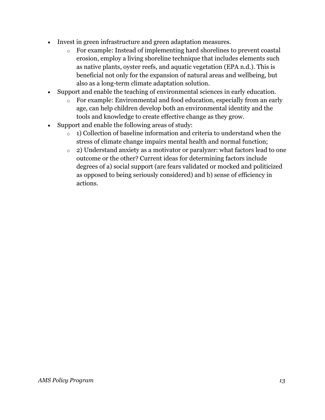- Invest in green infrastructure and green adaptation measures.
	- o For example: Instead of implementing hard shorelines to prevent coastal erosion, employ a living shoreline technique that includes elements such as native plants, oyster reefs, and aquatic vegetation (EPA n.d.). This is beneficial not only for the expansion of natural areas and wellbeing, but also as a long-term climate adaptation solution.
- Support and enable the teaching of environmental sciences in early education.
	- o For example: Environmental and food education, especially from an early age, can help children develop both an environmental identity and the tools and knowledge to create effective change as they grow.
- Support and enable the following areas of study:
	- $\circ$  1) Collection of baseline information and criteria to understand when the stress of climate change impairs mental health and normal function;
	- o 2) Understand anxiety as a motivator or paralyzer: what factors lead to one outcome or the other? Current ideas for determining factors include degrees of a) social support (are fears validated or mocked and politicized as opposed to being seriously considered) and b) sense of efficiency in actions.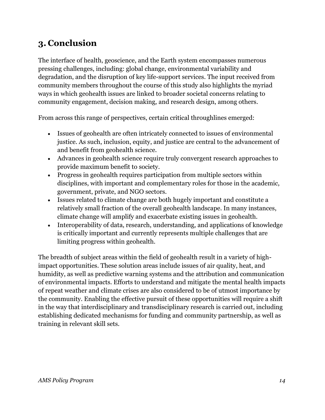## <span id="page-20-0"></span>**3. Conclusion**

The interface of health, geoscience, and the Earth system encompasses numerous pressing challenges, including: global change, environmental variability and degradation, and the disruption of key life-support services. The input received from community members throughout the course of this study also highlights the myriad ways in which geohealth issues are linked to broader societal concerns relating to community engagement, decision making, and research design, among others.

From across this range of perspectives, certain critical throughlines emerged:

- Issues of geohealth are often intricately connected to issues of environmental justice. As such, inclusion, equity, and justice are central to the advancement of and benefit from geohealth science.
- Advances in geohealth science require truly convergent research approaches to provide maximum benefit to society.
- Progress in geohealth requires participation from multiple sectors within disciplines, with important and complementary roles for those in the academic, government, private, and NGO sectors.
- Issues related to climate change are both hugely important and constitute a relatively small fraction of the overall geohealth landscape. In many instances, climate change will amplify and exacerbate existing issues in geohealth.
- Interoperability of data, research, understanding, and applications of knowledge is critically important and currently represents multiple challenges that are limiting progress within geohealth.

The breadth of subject areas within the field of geohealth result in a variety of highimpact opportunities. These solution areas include issues of air quality, heat, and humidity, as well as predictive warning systems and the attribution and communication of environmental impacts. Efforts to understand and mitigate the mental health impacts of repeat weather and climate crises are also considered to be of utmost importance by the community. Enabling the effective pursuit of these opportunities will require a shift in the way that interdisciplinary and transdisciplinary research is carried out, including establishing dedicated mechanisms for funding and community partnership, as well as training in relevant skill sets.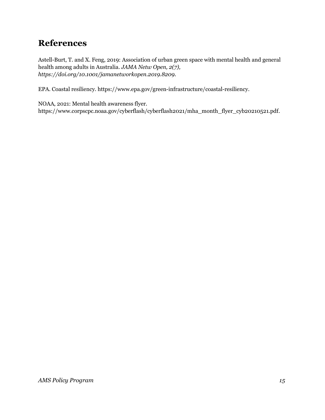## <span id="page-21-0"></span>**References**

Astell-Burt, T. and X. Feng, 2019: Association of urban green space with mental health and general health among adults in Australia. *JAMA Netw Open, 2(7), https://doi.org/10.1001/jamanetworkopen.2019.8209.*

EPA. Coastal resiliency. https://www.epa.gov/green-infrastructure/coastal-resiliency.

NOAA, 2021: Mental health awareness flyer. https://www.corpscpc.noaa.gov/cyberflash/cyberflash2021/mha\_month\_flyer\_cyb20210521.pdf.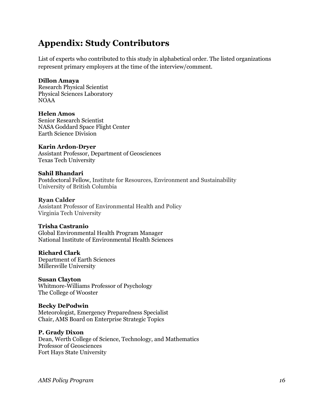## <span id="page-22-0"></span>**Appendix: Study Contributors**

List of experts who contributed to this study in alphabetical order. The listed organizations represent primary employers at the time of the interview/comment.

#### **Dillon Amaya**

Research Physical Scientist Physical Sciences Laboratory NOAA

#### **Helen Amos**

Senior Research Scientist NASA Goddard Space Flight Center Earth Science Division

#### **Karin Ardon-Dryer**

Assistant Professor, Department of Geosciences Texas Tech University

#### **Sahil Bhandari**

Postdoctoral Fellow, Institute for Resources, Environment and Sustainability University of British Columbia

#### **Ryan Calder**

Assistant Professor of Environmental Health and Policy Virginia Tech University

#### **Trisha Castranio**

Global Environmental Health Program Manager National Institute of Environmental Health Sciences

#### **Richard Clark**

Department of Earth Sciences Millersville University

#### **Susan Clayton**

Whitmore-Williams Professor of Psychology The College of Wooster

#### **Becky DePodwin**

Meteorologist, Emergency Preparedness Specialist Chair, AMS Board on Enterprise Strategic Topics

#### **P. Grady Dixon**

Dean, Werth College of Science, Technology, and Mathematics Professor of Geosciences Fort Hays State University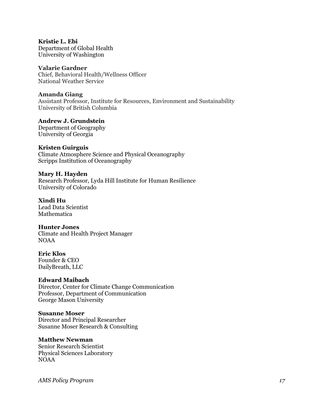**Kristie L. Ebi** Department of Global Health University of Washington

**Valarie Gardner** Chief, Behavioral Health/Wellness Officer National Weather Service

**Amanda Giang** Assistant Professor, Institute for Resources, Environment and Sustainability University of British Columbia

**Andrew J. Grundstein** Department of Geography University of Georgia

**Kristen Guirguis** Climate Atmosphere Science and Physical Oceanography Scripps Institution of Oceanography

**Mary H. Hayden** Research Professor, Lyda Hill Institute for Human Resilience University of Colorado

**Xindi Hu** Lead Data Scientist **Mathematica** 

**Hunter Jones** Climate and Health Project Manager NOAA

**Eric Klos** Founder & CEO DailyBreath, LLC

**Edward Maibach** Director, Center for Climate Change Communication Professor, Department of Communication

**Susanne Moser** Director and Principal Researcher Susanne Moser Research & Consulting

**Matthew Newman** Senior Research Scientist Physical Sciences Laboratory NOAA

George Mason University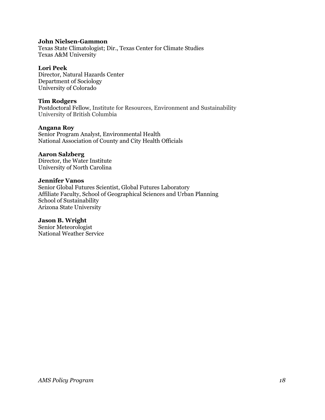#### **John Nielsen-Gammon**

Texas State Climatologist; Dir., Texas Center for Climate Studies Texas A&M University

#### **Lori Peek**

Director, Natural Hazards Center Department of Sociology University of Colorado

#### **Tim Rodgers**

Postdoctoral Fellow, Institute for Resources, Environment and Sustainability University of British Columbia

#### **Angana Roy**

Senior Program Analyst, Environmental Health National Association of County and City Health Officials

#### **Aaron Salzberg**

Director, the Water Institute University of North Carolina

#### **Jennifer Vanos**

Senior Global Futures Scientist, Global Futures Laboratory Affiliate Faculty, School of Geographical Sciences and Urban Planning School of Sustainability Arizona State University

#### **Jason B. Wright**

Senior Meteorologist National Weather Service